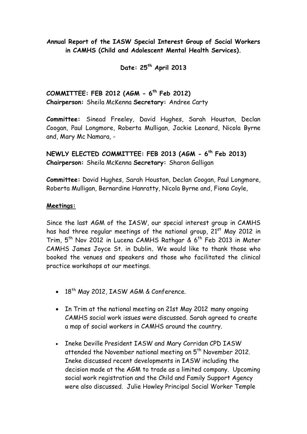**Annual Report of the IASW Special Interest Group of Social Workers in CAMHS (Child and Adolescent Mental Health Services).**

**Date: 25th April 2013**

**COMMITTEE: FEB 2012 (AGM - 6 th Feb 2012) Chairperson:** Sheila McKenna **Secretary:** Andree Carty

**Committee:** Sinead Freeley, David Hughes, Sarah Houston, Declan Coogan, Paul Longmore, Roberta Mulligan, Jackie Leonard, Nicola Byrne and, Mary Mc Namara, -

**NEWLY ELECTED COMMITTEE: FEB 2013 (AGM - 6 th Feb 2013) Chairperson:** Sheila McKenna **Secretary:** Sharon Galligan

**Committee:** David Hughes, Sarah Houston, Declan Coogan, Paul Longmore, Roberta Mulligan, Bernardine Hanratty, Nicola Byrne and, Fiona Coyle,

#### **Meetings:**

Since the last AGM of the IASW, our special interest group in CAMHS has had three regular meetings of the national group,  $21^{st}$  May 2012 in Trim, 5<sup>th</sup> Nov 2012 in Lucena CAMHS Rathgar & 6<sup>th</sup> Feb 2013 in Mater CAMHS James Joyce St. in Dublin**.** We would like to thank those who booked the venues and speakers and those who facilitated the clinical practice workshops at our meetings.

- $\cdot$  18<sup>th</sup> May 2012, IASW AGM & Conference.
- In Trim at the national meeting on 21st May 2012 many ongoing CAMHS social work issues were discussed. Sarah agreed to create a map of social workers in CAMHS around the country.
- . Ineke Deville President IASW and Mary Corridan CPD IASW attended the November national meeting on 5<sup>th</sup> November 2012. Ineke discussed recent developments in IASW including the decision made at the AGM to trade as a limited company. Upcoming social work registration and the Child and Family Support Agency were also discussed. Julie Howley Principal Social Worker Temple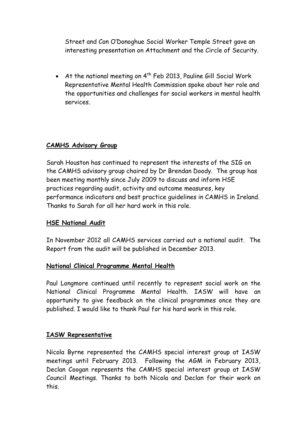Street and Con O'Donoghue Social Worker Temple Street gave an interesting presentation on Attachment and the Circle of Security.

• At the national meeting on  $4^{th}$  Feb 2013, Pauline Gill Social Work Representative Mental Health Commission spoke about her role and the opportunities and challenges for social workers in mental health services.

## **CAMHS Advisory Group**

Sarah Houston has continued to represent the interests of the SIG on the CAMHS advisory group chaired by Dr Brendan Doody. The group has been meeting monthly since July 2009 to discuss and inform HSE practices regarding audit, activity and outcome measures, key performance indicators and best practice guidelines in CAMHS in Ireland. Thanks to Sarah for all her hard work in this role.

### **HSE National Audit**

In November 2012 all CAMHS services carried out a national audit. The Report from the audit will be published in December 2013.

### **National Clinical Programme Mental Health**

Paul Longmore continued until recently to represent social work on the National Clinical Programme Mental Health. IASW will have an opportunity to give feedback on the clinical programmes once they are published. I would like to thank Paul for his hard work in this role.

### **IASW Representative**

Nicola Byrne represented the CAMHS special interest group at IASW meetings until February 2013. Following the AGM in February 2013, Declan Coogan represents the CAMHS special interest group at IASW Council Meetings. Thanks to both Nicola and Declan for their work on this.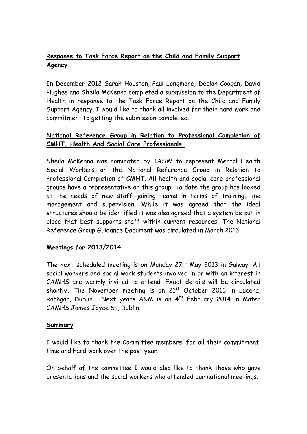# **Response to Task Force Report on the Child and Family Support Agency.**

In December 2012 Sarah Houston, Paul Longmore, Declan Coogan, David Hughes and Sheila McKenna completed a submission to the Department of Health in response to the Task Force Report on the Child and Family Support Agency. I would like to thank all involved for their hard work and commitment to getting the submission completed.

## **National Reference Group in Relation to Professional Completion of CMHT, Health And Social Care Professionals.**

Sheila McKenna was nominated by IASW to represent Mental Health Social Workers on the National Reference Group in Relation to Professional Completion of CMHT. All health and social care professional groups have a representative on this group. To date the group has looked at the needs of new staff joining teams in terms of training, line management and supervision. While it was agreed that the ideal structures should be identified it was also agreed that a system be put in place that best supports staff within current resources. The National Reference Group Guidance Document was circulated in March 2013.

## **Meetings for 2013/2014**

The next scheduled meeting is on Monday  $27<sup>th</sup>$  May 2013 in Galway. All social workers and social work students involved in or with an interest in CAMHS are warmly invited to attend. Exact details will be circulated shortly. The November meeting is on 21<sup>st</sup> October 2013 in Lucena, Rathgar, Dublin. Next years AGM is on 4<sup>th</sup> February 2014 in Mater CAMHS James Joyce St, Dublin.

### **Summary**

I would like to thank the Committee members, for all their commitment, time and hard work over the past year.

On behalf of the committee I would also like to thank those who gave presentations and the social workers who attended our national meetings.